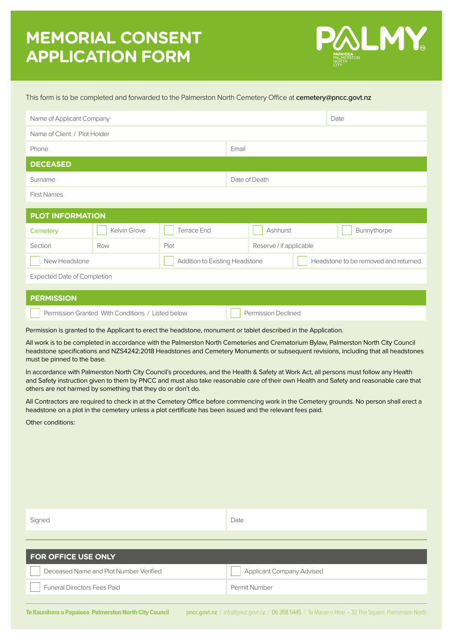# **MEMORIAL CONSENT APPLICATION FORM**



#### This form is to be completed and forwarded to the Palmerston North Cemetery Office at cemetery@pncc.govt.nz

| Name of Applicant Company                       |              |                    |               |                         |  | Date                                 |
|-------------------------------------------------|--------------|--------------------|---------------|-------------------------|--|--------------------------------------|
| Name of Client / Plot Holder                    |              |                    |               |                         |  |                                      |
| Phone                                           |              |                    | Email         |                         |  |                                      |
| <b>DECEASED</b>                                 |              |                    |               |                         |  |                                      |
| Surname                                         |              |                    | Date of Death |                         |  |                                      |
| <b>First Names</b>                              |              |                    |               |                         |  |                                      |
|                                                 |              |                    |               |                         |  |                                      |
| <b>PLOT INFORMATION</b>                         |              |                    |               |                         |  |                                      |
| Cemetery                                        | Kelvin Grove | <b>Terrace End</b> |               | Ashhurst                |  | Bunnythorpe                          |
| Section                                         | Row          | Plot               |               | Reserve / if applicable |  |                                      |
| New Headstone<br>Addition to Existing Headstone |              |                    |               |                         |  | Headstone to be removed and returned |
| <b>Expected Date of Completion</b>              |              |                    |               |                         |  |                                      |
|                                                 |              |                    |               |                         |  |                                      |
| <b>PERMISSION</b>                               |              |                    |               |                         |  |                                      |

Permission is granted to the Applicant to erect the headstone, monument or tablet described in the Application.

Permission Granted With Conditions / Listed below Permission Declined

Funeral Directors Fees Paid **Permit Number** Permit Number

All work is to be completed in accordance with the Palmerston North Cemeteries and Crematorium Bylaw, Palmerston North City Council headstone specifications and NZS4242:2018 Headstones and Cemetery Monuments or subsequent revisions, including that all headstones must be pinned to the base.

In accordance with Palmerston North City Council's procedures, and the Health & Safety at Work Act, all persons must follow any Health and Safety instruction given to them by PNCC and must also take reasonable care of their own Health and Safety and reasonable care that others are not harmed by something that they do or don't do.

All Contractors are required to check in at the Cemetery Office before commencing work in the Cemetery grounds. No person shall erect a headstone on a plot in the cemetery unless a plot certificate has been issued and the relevant fees paid.

Other conditions:

| Signed                                 | Date                      |
|----------------------------------------|---------------------------|
|                                        |                           |
|                                        |                           |
| <b>FOR OFFICE USE ONLY</b>             |                           |
| Deceased Name and Plot Number Verified | Applicant Company Advised |

Te Kaunihera o Papaioea Palmerston North City Council **pncc.govt.nz** / info@pncc.govt.nz / 06 358 5445 / Te Marae o Hine – 32 The Square, Palmerston North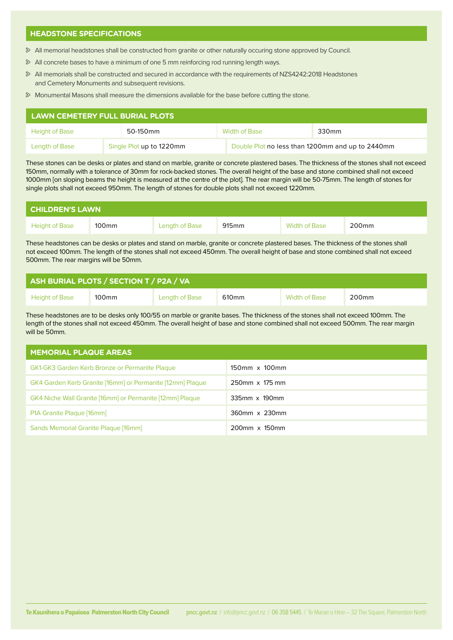### **HEADSTONE SPECIFICATIONS**

- All memorial headstones shall be constructed from granite or other naturally occuring stone approved by Council.
- All concrete bases to have a minimum of one 5 mm reinforcing rod running length ways.
- All memorials shall be constructed and secured in accordance with the requirements of NZS4242:2018 Headstones and Cemetery Monuments and subsequent revisions.
- Monumental Masons shall measure the dimensions available for the base before cutting the stone.

| LAWN CEMETERY FULL BURIAL PLOTS |                          |          |                                                  |               |       |
|---------------------------------|--------------------------|----------|--------------------------------------------------|---------------|-------|
| <b>Height of Base</b>           |                          | 50-150mm |                                                  | Width of Base | 330mm |
| Length of Base                  | Single Plot up to 1220mm |          | Double Plot no less than 1200mm and up to 2440mm |               |       |

These stones can be desks or plates and stand on marble, granite or concrete plastered bases. The thickness of the stones shall not exceed 150mm, normally with a tolerance of 30mm for rock-backed stones. The overall height of the base and stone combined shall not exceed 1000mm [on sloping beams the height is measured at the centre of the plot]. The rear margin will be 50-75mm. The length of stones for single plots shall not exceed 950mm. The length of stones for double plots shall not exceed 1220mm.

| <b>CHILDREN'S LAWN \</b> |       |                       |                   |               |       |  |
|--------------------------|-------|-----------------------|-------------------|---------------|-------|--|
| <b>Height of Base</b>    | 100mm | <b>Length of Base</b> | 915 <sub>mm</sub> | Width of Base | 200mm |  |

These headstones can be desks or plates and stand on marble, granite or concrete plastered bases. The thickness of the stones shall not exceed 100mm. The length of the stones shall not exceed 450mm. The overall height of base and stone combined shall not exceed 500mm. The rear margins will be 50mm.

| ASH BURIAL PLOTS / SECTION T / P2A / VA |                   |                |                   |               |                   |  |
|-----------------------------------------|-------------------|----------------|-------------------|---------------|-------------------|--|
| <b>Height of Base</b>                   | 100 <sub>mm</sub> | Length of Base | 610 <sub>mm</sub> | Width of Base | 200 <sub>mm</sub> |  |

These headstones are to be desks only 100/55 on marble or granite bases. The thickness of the stones shall not exceed 100mm. The length of the stones shall not exceed 450mm. The overall height of base and stone combined shall not exceed 500mm. The rear margin will be 50mm.

| <b>MEMORIAL PLAQUE AREAS</b>                              |                |  |  |  |
|-----------------------------------------------------------|----------------|--|--|--|
| <b>GK1-GK3 Garden Kerb Bronze or Permanite Plaque</b>     | 150mm x 100mm  |  |  |  |
| GK4 Garden Kerb Granite [16mm] or Permanite [12mm] Plaque | 250mm x 175 mm |  |  |  |
| GK4 Niche Wall Granite [16mm] or Permanite [12mm] Plaque  | 335mm x 190mm  |  |  |  |
| P1A Granite Plaque [16mm]                                 | 360mm x 230mm  |  |  |  |
| Sands Memorial Granite Plaque [16mm]                      | 200mm x 150mm  |  |  |  |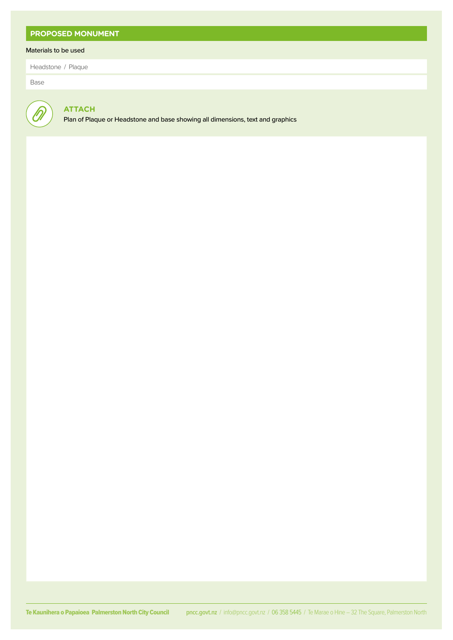## **PROPOSED MONUMENT**

### Materials to be used

Headstone / Plaque

Base

# **ATTACH**

Plan of Plaque or Headstone and base showing all dimensions, text and graphics